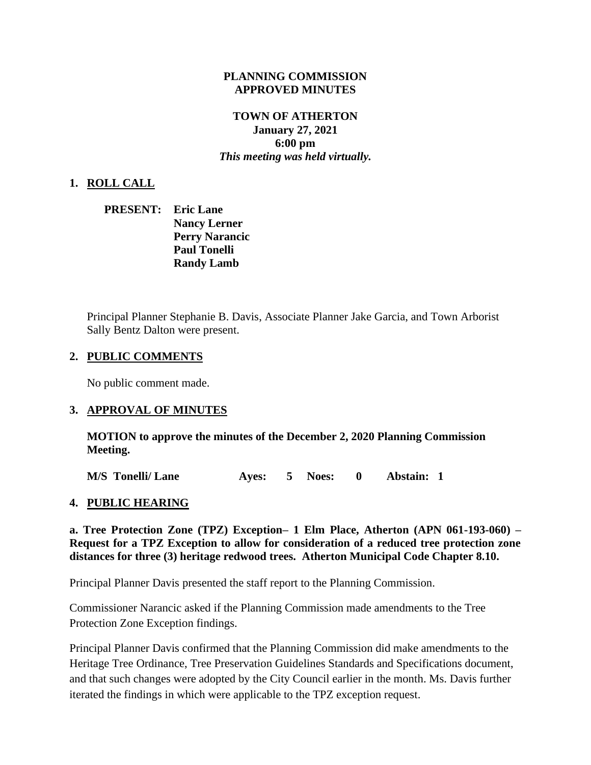#### **PLANNING COMMISSION APPROVED MINUTES**

## **TOWN OF ATHERTON January 27, 2021**

**6:00 pm** *This meeting was held virtually.*

### **1. ROLL CALL**

| <b>PRESENT:</b> Eric Lane |                       |
|---------------------------|-----------------------|
|                           | <b>Nancy Lerner</b>   |
|                           | <b>Perry Narancic</b> |
|                           | <b>Paul Tonelli</b>   |
|                           | <b>Randy Lamb</b>     |

Principal Planner Stephanie B. Davis, Associate Planner Jake Garcia, and Town Arborist Sally Bentz Dalton were present.

### **2. PUBLIC COMMENTS**

No public comment made.

#### **3. APPROVAL OF MINUTES**

**MOTION to approve the minutes of the December 2, 2020 Planning Commission Meeting.**

**M/S Tonelli/ Lane Ayes: 5 Noes: 0 Abstain: 1**

#### **4. PUBLIC HEARING**

**a. Tree Protection Zone (TPZ) Exception– 1 Elm Place, Atherton (APN 061-193-060) – Request for a TPZ Exception to allow for consideration of a reduced tree protection zone distances for three (3) heritage redwood trees. Atherton Municipal Code Chapter 8.10.**

Principal Planner Davis presented the staff report to the Planning Commission.

Commissioner Narancic asked if the Planning Commission made amendments to the Tree Protection Zone Exception findings.

Principal Planner Davis confirmed that the Planning Commission did make amendments to the Heritage Tree Ordinance, Tree Preservation Guidelines Standards and Specifications document, and that such changes were adopted by the City Council earlier in the month. Ms. Davis further iterated the findings in which were applicable to the TPZ exception request.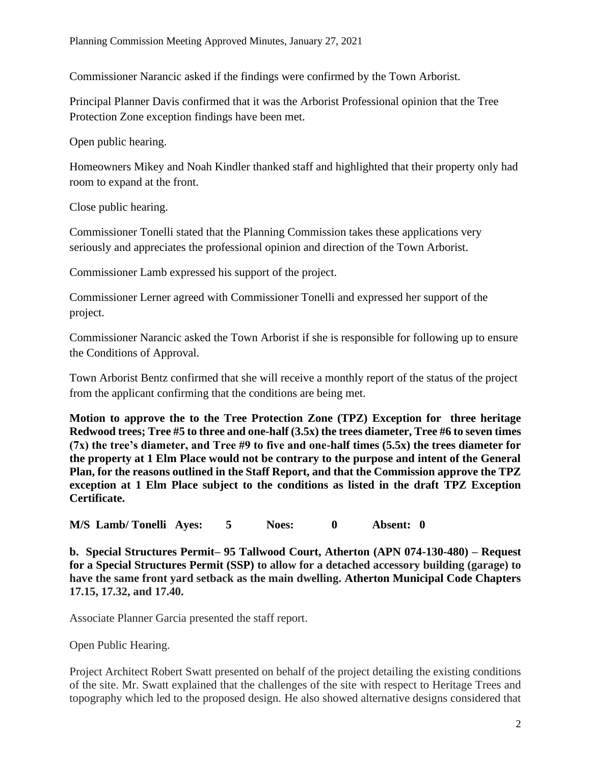Commissioner Narancic asked if the findings were confirmed by the Town Arborist.

Principal Planner Davis confirmed that it was the Arborist Professional opinion that the Tree Protection Zone exception findings have been met.

Open public hearing.

Homeowners Mikey and Noah Kindler thanked staff and highlighted that their property only had room to expand at the front.

Close public hearing.

Commissioner Tonelli stated that the Planning Commission takes these applications very seriously and appreciates the professional opinion and direction of the Town Arborist.

Commissioner Lamb expressed his support of the project.

Commissioner Lerner agreed with Commissioner Tonelli and expressed her support of the project.

Commissioner Narancic asked the Town Arborist if she is responsible for following up to ensure the Conditions of Approval.

Town Arborist Bentz confirmed that she will receive a monthly report of the status of the project from the applicant confirming that the conditions are being met.

**Motion to approve the to the Tree Protection Zone (TPZ) Exception for three heritage Redwood trees; Tree #5 to three and one-half (3.5x) the trees diameter, Tree #6 to seven times (7x) the tree's diameter, and Tree #9 to five and one-half times (5.5x) the trees diameter for the property at 1 Elm Place would not be contrary to the purpose and intent of the General Plan, for the reasons outlined in the Staff Report, and that the Commission approve the TPZ exception at 1 Elm Place subject to the conditions as listed in the draft TPZ Exception Certificate.**

**M/S Lamb/ Tonelli Ayes: 5 Noes: 0 Absent: 0**

**b. Special Structures Permit– 95 Tallwood Court, Atherton (APN 074-130-480) – Request for a Special Structures Permit (SSP) to allow for a detached accessory building (garage) to have the same front yard setback as the main dwelling. Atherton Municipal Code Chapters 17.15, 17.32, and 17.40.**

Associate Planner Garcia presented the staff report.

Open Public Hearing.

Project Architect Robert Swatt presented on behalf of the project detailing the existing conditions of the site. Mr. Swatt explained that the challenges of the site with respect to Heritage Trees and topography which led to the proposed design. He also showed alternative designs considered that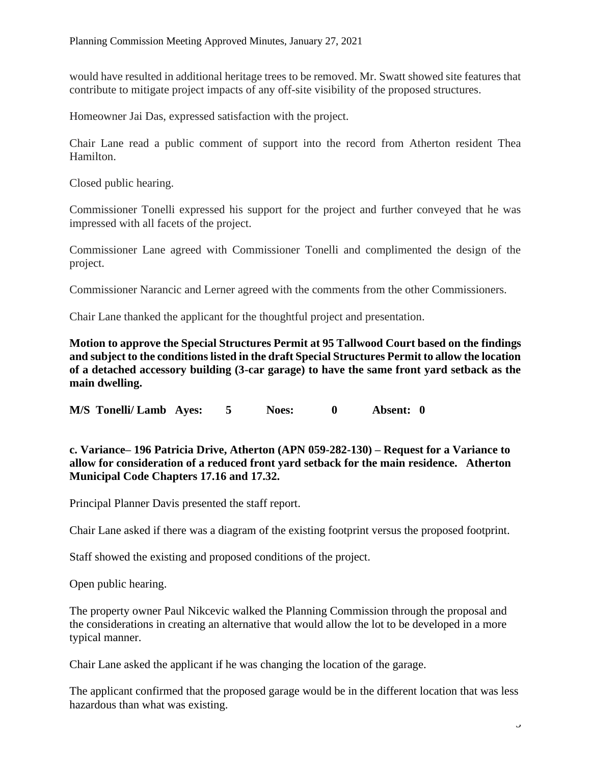would have resulted in additional heritage trees to be removed. Mr. Swatt showed site features that contribute to mitigate project impacts of any off-site visibility of the proposed structures.

Homeowner Jai Das, expressed satisfaction with the project.

Chair Lane read a public comment of support into the record from Atherton resident Thea Hamilton.

Closed public hearing.

Commissioner Tonelli expressed his support for the project and further conveyed that he was impressed with all facets of the project.

Commissioner Lane agreed with Commissioner Tonelli and complimented the design of the project.

Commissioner Narancic and Lerner agreed with the comments from the other Commissioners.

Chair Lane thanked the applicant for the thoughtful project and presentation.

**Motion to approve the Special Structures Permit at 95 Tallwood Court based on the findings and subject to the conditions listed in the draft Special Structures Permit to allow the location of a detached accessory building (3-car garage) to have the same front yard setback as the main dwelling.**

**M/S Tonelli/ Lamb Ayes: 5 Noes: 0 Absent: 0**

**c. Variance– 196 Patricia Drive, Atherton (APN 059-282-130) – Request for a Variance to allow for consideration of a reduced front yard setback for the main residence. Atherton Municipal Code Chapters 17.16 and 17.32.**

Principal Planner Davis presented the staff report.

Chair Lane asked if there was a diagram of the existing footprint versus the proposed footprint.

Staff showed the existing and proposed conditions of the project.

Open public hearing.

The property owner Paul Nikcevic walked the Planning Commission through the proposal and the considerations in creating an alternative that would allow the lot to be developed in a more typical manner.

Chair Lane asked the applicant if he was changing the location of the garage.

The applicant confirmed that the proposed garage would be in the different location that was less hazardous than what was existing.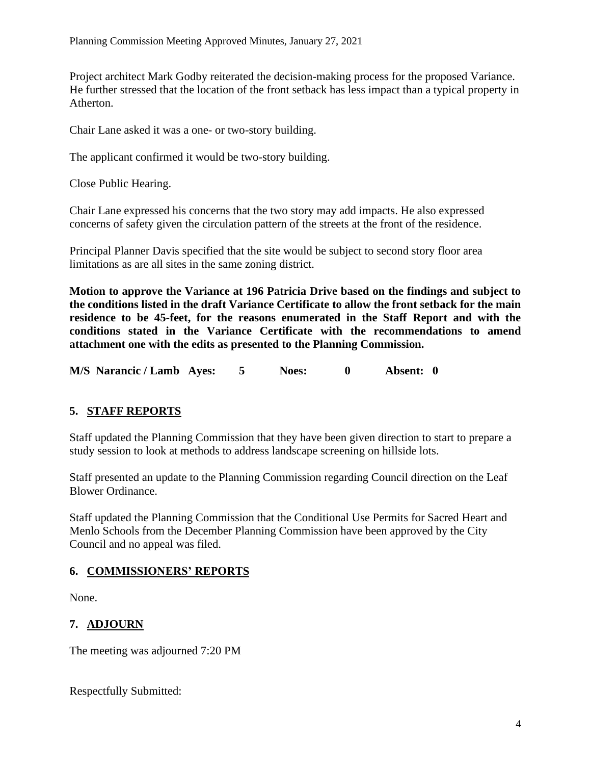Project architect Mark Godby reiterated the decision-making process for the proposed Variance. He further stressed that the location of the front setback has less impact than a typical property in Atherton.

Chair Lane asked it was a one- or two-story building.

The applicant confirmed it would be two-story building.

Close Public Hearing.

Chair Lane expressed his concerns that the two story may add impacts. He also expressed concerns of safety given the circulation pattern of the streets at the front of the residence.

Principal Planner Davis specified that the site would be subject to second story floor area limitations as are all sites in the same zoning district.

**Motion to approve the Variance at 196 Patricia Drive based on the findings and subject to the conditions listed in the draft Variance Certificate to allow the front setback for the main residence to be 45-feet, for the reasons enumerated in the Staff Report and with the conditions stated in the Variance Certificate with the recommendations to amend attachment one with the edits as presented to the Planning Commission.**

**M/S Narancic / Lamb Ayes: 5 Noes: 0 Absent: 0**

## **5. STAFF REPORTS**

Staff updated the Planning Commission that they have been given direction to start to prepare a study session to look at methods to address landscape screening on hillside lots.

Staff presented an update to the Planning Commission regarding Council direction on the Leaf Blower Ordinance.

Staff updated the Planning Commission that the Conditional Use Permits for Sacred Heart and Menlo Schools from the December Planning Commission have been approved by the City Council and no appeal was filed.

## **6. COMMISSIONERS' REPORTS**

None.

# **7. ADJOURN**

The meeting was adjourned 7:20 PM

Respectfully Submitted: